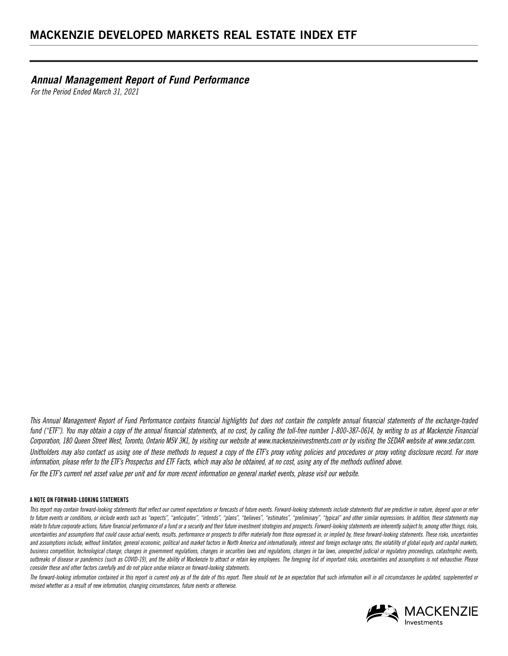*Annual Management Report of Fund Performance* 

*For the Period Ended March 31, 2021*

*This Annual Management Report of Fund Performance contains financial highlights but does not contain the complete annual financial statements of the exchange-traded fund ("ETF"). You may obtain a copy of the annual financial statements, at no cost, by calling the toll-free number 1-800-387-0614, by writing to us at Mackenzie Financial Corporation, 180 Queen Street West, Toronto, Ontario M5V 3K1, by visiting our website at www.mackenzieinvestments.com or by visiting the SEDAR website at www.sedar.com. Unitholders may also contact us using one of these methods to request a copy of the ETF's proxy voting policies and procedures or proxy voting disclosure record. For more information, please refer to the ETF's Prospectus and ETF Facts, which may also be obtained, at no cost, using any of the methods outlined above. For the ETF's current net asset value per unit and for more recent information on general market events, please visit our website.*

#### **A NOTE ON FORWARD-LOOKING STATEMENTS**

This report may contain forward-looking statements that reflect our current expectations or forecasts of future events. Forward-looking statements include statements that are predictive in nature, depend upon or refer to future events or conditions, or include words such as "expects", "anticipates", "intends", "plans", "believes", "estimates", "preliminary", "typical" and other similar expressions. In addition, these statements may relate to future corporate actions, future financial performance of a fund or a security and their future investment strategies and prospects. Forward-looking statements are inherently subject to, among other things, risks uncertainties and assumptions that could cause actual events, results, performance or prospects to differ materially from those expressed in, or implied by, these forward-looking statements. These risks, uncertainties and assumptions include, without limitation, general economic, political and market factors in North America and internationally, interest and foreign exchange rates, the volatility of global equity and capital markets, business competition, technological change, changes in government regulations, changes in *tax laws, unexpected indicial or regulatory proceedings, catastrophic events*, *outbreaks of disease or pandemics (such as COVID-19), and the ability of Mackenzie to attract or retain key employees. The foregoing list of important risks, uncertainties and assumptions is not exhaustive. Please consider these and other factors carefully and do not place undue reliance on forward-looking statements.*

*The forward-looking information contained in this report is current only as of the date of this report. There should not be an expectation that such information will in all circumstances be updated, supplemented or revised whether as a result of new information, changing circumstances, future events or otherwise.*

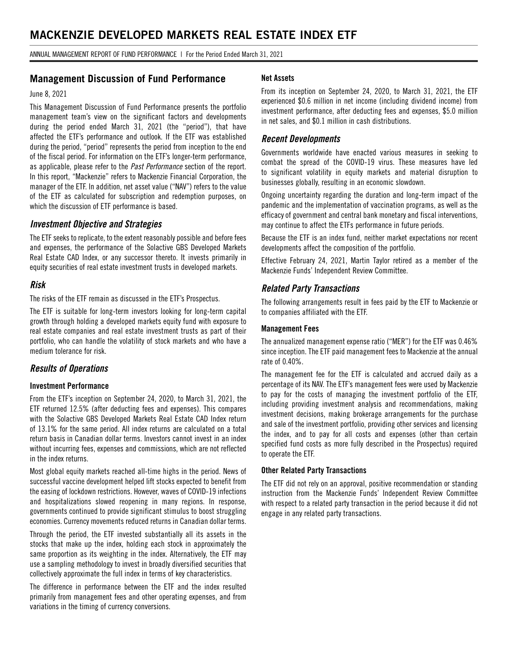ANNUAL MANAGEMENT REPORT OF FUND PERFORMANCE | For the Period Ended March 31, 2021

## **Management Discussion of Fund Performance**

#### June 8, 2021

This Management Discussion of Fund Performance presents the portfolio management team's view on the significant factors and developments during the period ended March 31, 2021 (the "period"), that have affected the ETF's performance and outlook. If the ETF was established during the period, "period" represents the period from inception to the end of the fiscal period. For information on the ETF's longer-term performance, as applicable, please refer to the *Past Performance* section of the report. In this report, "Mackenzie" refers to Mackenzie Financial Corporation, the manager of the ETF. In addition, net asset value ("NAV") refers to the value of the ETF as calculated for subscription and redemption purposes, on which the discussion of ETF performance is based.

#### *Investment Objective and Strategies*

The ETF seeks to replicate, to the extent reasonably possible and before fees and expenses, the performance of the Solactive GBS Developed Markets Real Estate CAD Index, or any successor thereto. It invests primarily in equity securities of real estate investment trusts in developed markets.

### *Risk*

The risks of the ETF remain as discussed in the ETF's Prospectus.

The ETF is suitable for long-term investors looking for long-term capital growth through holding a developed markets equity fund with exposure to real estate companies and real estate investment trusts as part of their portfolio, who can handle the volatility of stock markets and who have a medium tolerance for risk.

## *Results of Operations*

#### **Investment Performance**

From the ETF's inception on September 24, 2020, to March 31, 2021, the ETF returned 12.5% (after deducting fees and expenses). This compares with the Solactive GBS Developed Markets Real Estate CAD Index return of 13.1% for the same period. All index returns are calculated on a total return basis in Canadian dollar terms. Investors cannot invest in an index without incurring fees, expenses and commissions, which are not reflected in the index returns.

Most global equity markets reached all-time highs in the period. News of successful vaccine development helped lift stocks expected to benefit from the easing of lockdown restrictions. However, waves of COVID-19 infections and hospitalizations slowed reopening in many regions. In response, governments continued to provide significant stimulus to boost struggling economies. Currency movements reduced returns in Canadian dollar terms.

Through the period, the ETF invested substantially all its assets in the stocks that make up the index, holding each stock in approximately the same proportion as its weighting in the index. Alternatively, the ETF may use a sampling methodology to invest in broadly diversified securities that collectively approximate the full index in terms of key characteristics.

The difference in performance between the ETF and the index resulted primarily from management fees and other operating expenses, and from variations in the timing of currency conversions.

#### **Net Assets**

From its inception on September 24, 2020, to March 31, 2021, the ETF experienced \$0.6 million in net income (including dividend income) from investment performance, after deducting fees and expenses, \$5.0 million in net sales, and \$0.1 million in cash distributions.

### *Recent Developments*

Governments worldwide have enacted various measures in seeking to combat the spread of the COVID-19 virus. These measures have led to significant volatility in equity markets and material disruption to businesses globally, resulting in an economic slowdown.

Ongoing uncertainty regarding the duration and long-term impact of the pandemic and the implementation of vaccination programs, as well as the efficacy of government and central bank monetary and fiscal interventions, may continue to affect the ETFs performance in future periods.

Because the ETF is an index fund, neither market expectations nor recent developments affect the composition of the portfolio.

Effective February 24, 2021, Martin Taylor retired as a member of the Mackenzie Funds' Independent Review Committee.

#### *Related Party Transactions*

The following arrangements result in fees paid by the ETF to Mackenzie or to companies affiliated with the ETF.

#### **Management Fees**

The annualized management expense ratio ("MER") for the ETF was 0.46% since inception. The ETF paid management fees to Mackenzie at the annual rate of 0.40%.

The management fee for the ETF is calculated and accrued daily as a percentage of its NAV. The ETF's management fees were used by Mackenzie to pay for the costs of managing the investment portfolio of the ETF, including providing investment analysis and recommendations, making investment decisions, making brokerage arrangements for the purchase and sale of the investment portfolio, providing other services and licensing the index, and to pay for all costs and expenses (other than certain specified fund costs as more fully described in the Prospectus) required to operate the ETF.

#### **Other Related Party Transactions**

The ETF did not rely on an approval, positive recommendation or standing instruction from the Mackenzie Funds' Independent Review Committee with respect to a related party transaction in the period because it did not engage in any related party transactions.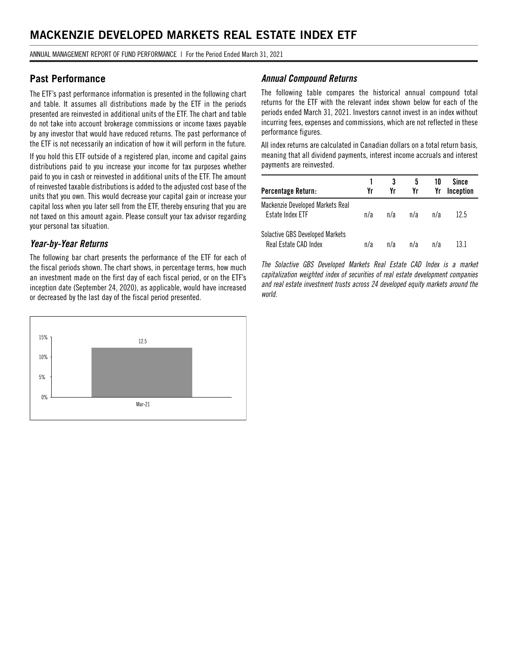ANNUAL MANAGEMENT REPORT OF FUND PERFORMANCE | For the Period Ended March 31, 2021

## **Past Performance**

The ETF's past performance information is presented in the following chart and table. It assumes all distributions made by the ETF in the periods presented are reinvested in additional units of the ETF. The chart and table do not take into account brokerage commissions or income taxes payable by any investor that would have reduced returns. The past performance of the ETF is not necessarily an indication of how it will perform in the future.

If you hold this ETF outside of a registered plan, income and capital gains distributions paid to you increase your income for tax purposes whether paid to you in cash or reinvested in additional units of the ETF. The amount of reinvested taxable distributions is added to the adjusted cost base of the units that you own. This would decrease your capital gain or increase your capital loss when you later sell from the ETF, thereby ensuring that you are not taxed on this amount again. Please consult your tax advisor regarding your personal tax situation.

## *Year-by-Year Returns*

The following bar chart presents the performance of the ETF for each of the fiscal periods shown. The chart shows, in percentage terms, how much an investment made on the first day of each fiscal period, or on the ETF's inception date (September 24, 2020), as applicable, would have increased or decreased by the last day of the fiscal period presented.



### *Annual Compound Returns*

The following table compares the historical annual compound total returns for the ETF with the relevant index shown below for each of the periods ended March 31, 2021. Investors cannot invest in an index without incurring fees, expenses and commissions, which are not reflected in these performance figures.

All index returns are calculated in Canadian dollars on a total return basis, meaning that all dividend payments, interest income accruals and interest payments are reinvested.

| Percentage Return:                                              | Yr  | Yr  | 5<br>Yr | 10<br>Yr | Since<br>Inception |
|-----------------------------------------------------------------|-----|-----|---------|----------|--------------------|
| Mackenzie Developed Markets Real<br>Estate Index ETF            | n/a | n/a | n/a     | n/a      | 12.5               |
| <b>Solactive GBS Developed Markets</b><br>Real Estate CAD Index | n/a | n/a | n/a     | n/a      | 13 1               |

*The Solactive GBS Developed Markets Real Estate CAD Index is a market capitalization weighted index of securities of real estate development companies and real estate investment trusts across 24 developed equity markets around the world.*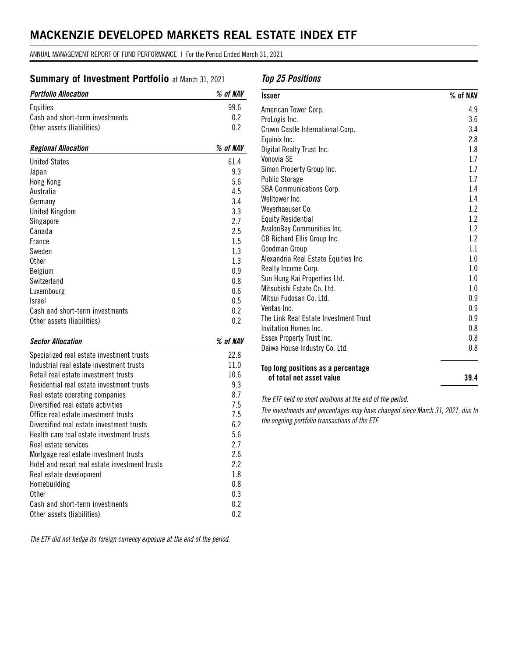ANNUAL MANAGEMENT REPORT OF FUND PERFORMANCE | For the Period Ended March 31, 2021

## **Summary of Investment Portfolio** at March 31, 2021

| <b>Portfolio Allocation</b>     | $\%$ of NAV |
|---------------------------------|-------------|
| Equities                        | 99.6        |
| Cash and short-term investments | 0.2         |
| Other assets (liabilities)      | 0.2         |
| <b>Regional Allocation</b>      | % of NAV    |
| <b>United States</b>            | 61.4        |
| Japan                           | 9.3         |
| Hong Kong                       | 5.6         |
| Australia                       | 4.5         |
| Germany                         | 3.4         |
| <b>United Kingdom</b>           | 3.3         |
| Singapore                       | 2.7         |
| Canada                          | 2.5         |
| France                          | 1.5         |
| Sweden                          | 1.3         |
| <b>Other</b>                    | 1.3         |
| Belgium                         | 0.9         |
| Switzerland                     | 0.8         |
| Luxembourg                      | 0.6         |
| <b>Israel</b>                   | 0.5         |
| Cash and short-term investments | 0.2         |
| Other assets (liabilities)      | 0.2         |

### *Sector Allocation % of NAV*

| Specialized real estate investment trusts      | 22.8 |
|------------------------------------------------|------|
| Industrial real estate investment trusts       | 11.0 |
| Retail real estate investment trusts           | 10.6 |
| Residential real estate investment trusts      | 9.3  |
| Real estate operating companies                | 8.7  |
| Diversified real estate activities             | 7.5  |
| Office real estate investment trusts           | 7.5  |
| Diversified real estate investment trusts      | 6.2  |
| Health care real estate investment trusts      | 5.6  |
| Real estate services                           | 2.7  |
| Mortgage real estate investment trusts         | 2.6  |
| Hotel and resort real estate investment trusts | 2.2  |
| Real estate development                        | 1.8  |
| Homebuilding                                   | 0.8  |
| 0ther                                          | 0.3  |
| Cash and short-term investments                | 0.2  |
| Other assets (liabilities)                     | 0.2  |

*The ETF did not hedge its foreign currency exposure at the end of the period.*

## *Top 25 Positions*

| <b>Issuer</b>                         | $%$ of NAV |
|---------------------------------------|------------|
| American Tower Corp.                  | 4.9        |
| ProLogis Inc.                         | 3.6        |
| Crown Castle International Corp.      | 3.4        |
| Equinix Inc.                          | 2.8        |
| Digital Realty Trust Inc.             | 1.8        |
| Vonovia SF                            | 1.7        |
| Simon Property Group Inc.             | 1.7        |
| <b>Public Storage</b>                 | 1.7        |
| <b>SBA Communications Corp.</b>       | 1.4        |
| Welltower Inc.                        | 1.4        |
| Weyerhaeuser Co.                      | 1.2        |
| <b>Equity Residential</b>             | 1.2        |
| AvalonBay Communities Inc.            | 1.2        |
| CB Richard Ellis Group Inc.           | 1.2        |
| Goodman Group                         | 1.1        |
| Alexandria Real Estate Equities Inc.  | $1.0\,$    |
| Realty Income Corp.                   | 1.0        |
| Sun Hung Kai Properties Ltd.          | $1.0\,$    |
| Mitsubishi Estate Co. Ltd.            | 1.0        |
| Mitsui Fudosan Co. Ltd.               | 0.9        |
| Ventas Inc.                           | 0.9        |
| The Link Real Estate Investment Trust | 0.9        |
| Invitation Homes Inc.                 | 0.8        |
| Essex Property Trust Inc.             | 0.8        |
| Daiwa House Industry Co. Ltd.         | 0.8        |
| Top long positions as a percentage    |            |
| of total net asset value              | 39.4       |

*The ETF held no short positions at the end of the period.* 

*The investments and percentages may have changed since March 31, 2021, due to the ongoing portfolio transactions of the ETF.*